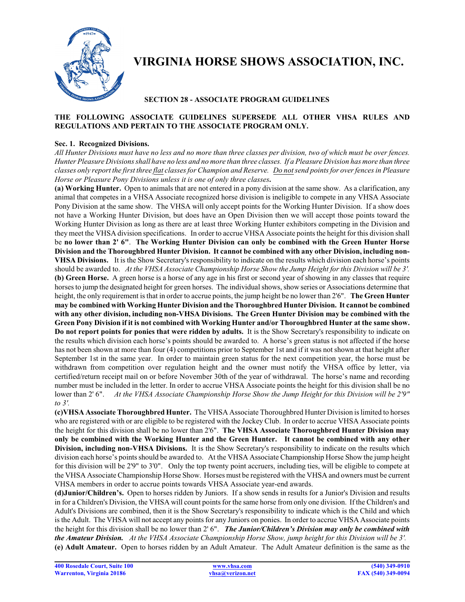

# **VIRGINIA HORSE SHOWS ASSOCIATION, INC.**

## **SECTION 28 - ASSOCIATE PROGRAM GUIDELINES**

## **THE FOLLOWING ASSOCIATE GUIDELINES SUPERSEDE ALL OTHER VHSA RULES AND REGULATIONS AND PERTAIN TO THE ASSOCIATE PROGRAM ONLY.**

#### **Sec. 1. Recognized Divisions.**

*All Hunter Divisions must have no less and no more than three classes per division, two of which must be over fences. Hunter Pleasure Divisions shall have no less and no more than three classes. If a Pleasure Division has more than three classes only report the first three flat classes for Champion and Reserve. Do notsend points for over fences in Pleasure Horse or Pleasure Pony Divisions unless it is one of only three classes***.** 

**(a) Working Hunter.** Open to animals that are not entered in a pony division at the same show. As a clarification, any animal that competes in a VHSA Associate recognized horse division is ineligible to compete in any VHSA Associate Pony Division at the same show. The VHSA will only accept points for the Working Hunter Division. If a show does not have a Working Hunter Division, but does have an Open Division then we will accept those points toward the Working Hunter Division as long as there are at least three Working Hunter exhibitors competing in the Division and they meet the VHSA division specifications. In order to accrue VHSA Associate points the height for this division shall be **no lower than 2' 6"**. **The Working Hunter Division can only be combined with the Green Hunter Horse Division and the Thoroughbred Hunter Division. It cannot be combined with any other Division, including non-VHSA Divisions.** It is the Show Secretary's responsibility to indicate on the results which division each horse's points should be awarded to. *At the VHSA Associate Championship Horse Show the Jump Height for this Division will be 3'.* **(b) Green Horse.** A green horse is a horse of any age in his first or second year of showing in any classes that require horses to jump the designated height for green horses. The individual shows, show series or Associations determine that height, the only requirement is that in order to accrue points, the jump height be no lower than 2'6". **The Green Hunter may be combined with Working Hunter Division and the Thoroughbred Hunter Division. It cannot be combined with any other division, including non-VHSA Divisions. The Green Hunter Division may be combined with the Green Pony Division if it is not combined with Working Hunter and/or Thoroughbred Hunter at the same show. Do not report points for ponies that were ridden by adults.** It is the Show Secretary's responsibility to indicate on the results which division each horse's points should be awarded to. A horse's green status is not affected if the horse has not been shown at more than four (4) competitions prior to September 1st and if it was not shown at that height after September 1st in the same year. In order to maintain green status for the next competition year, the horse must be withdrawn from competition over regulation height and the owner must notify the VHSA office by letter, via certified/return receipt mail on or before November 30th of the year of withdrawal. The horse's name and recording number must be included in the letter. In order to accrue VHSA Associate points the height for this division shall be no lower than 2' 6". *At the VHSA Associate Championship Horse Show the Jump Height for this Division will be 2'9" to 3'.*

**(c)VHSA Associate Thoroughbred Hunter.** The VHSA Associate Thoroughbred Hunter Division is limited to horses who are registered with or are eligible to be registered with the Jockey Club. In order to accrue VHSA Associate points the height for this division shall be no lower than 2'6". **The VHSA Associate Thoroughbred Hunter Division may only be combined with the Working Hunter and the Green Hunter. It cannot be combined with any other Division, including non-VHSA Divisions.** It is the Show Secretary's responsibility to indicate on the results which division each horse's points should be awarded to. At the VHSA Associate Championship Horse Show the jump height for this division will be 2'9" to 3'0". Only the top twenty point accruers, including ties, will be eligible to compete at the VHSA Associate Championship Horse Show. Horses must be registered with the VHSA and owners must be current VHSA members in order to accrue points towards VHSA Associate year-end awards.

**(d)Junior/Children's.** Open to horses ridden by Juniors. If a show sends in results for a Junior's Division and results in for a Children's Division, the VHSA will count points for the same horse from only one division. If the Children's and Adult's Divisions are combined, then it is the Show Secretary's responsibility to indicate which is the Child and which isthe Adult. The VHSA will not accept any points for any Juniors on ponies. In order to accrue VHSA Associate points the height for this division shall be no lower than 2' 6". *The Junior/Children's Division may only be combined with the Amateur Division. At the VHSA Associate Championship Horse Show, jump height for this Division will be 3'.* **(e) Adult Amateur.** Open to horses ridden by an Adult Amateur. The Adult Amateur definition is the same as the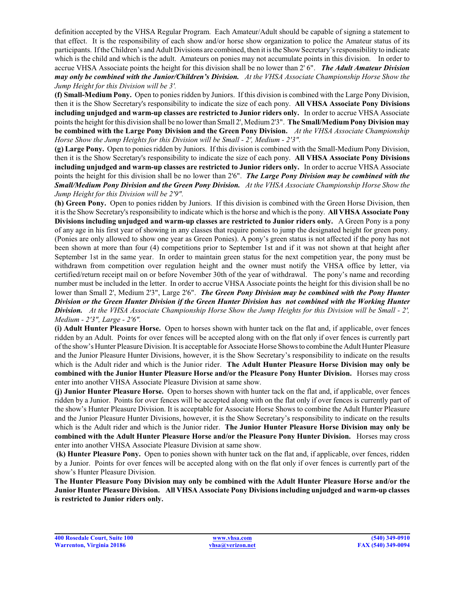definition accepted by the VHSA Regular Program. Each Amateur/Adult should be capable of signing a statement to that effect. It is the responsibility of each show and/or horse show organization to police the Amateur status of its participants. Ifthe Children's and Adult Divisions are combined, then it is the ShowSecretary's responsibility to indicate which is the child and which is the adult. Amateurs on ponies may not accumulate points in this division. In order to accrue VHSA Associate points the height for this division shall be no lower than 2' 6". *The Adult Amateur Division may only be combined with the Junior/Children's Division. At the VHSA Associate Championship Horse Show the Jump Height for this Division will be 3'.*

**(f) Small-Medium Pony.** Open to ponies ridden by Juniors. If this division is combined with the Large Pony Division, then it is the Show Secretary's responsibility to indicate the size of each pony. **All VHSA Associate Pony Divisions including unjudged and warm-up classes are restricted to Junior riders only.** In order to accrue VHSA Associate pointsthe height for this division shall be no lower than Small 2', Medium2'3". **The Small/MediumPony Division may be combined with the Large Pony Division and the Green Pony Division.** *At the VHSA Associate Championship Horse Show the Jump Heights for this Division will be Small - 2', Medium - 2'3".*

**(g) Large Pony.** Open to ponies ridden by Juniors. If this division is combined with the Small-Medium Pony Division, then it is the Show Secretary's responsibility to indicate the size of each pony. **All VHSA Associate Pony Divisions including unjudged and warm-up classes are restricted to Junior riders only.** In order to accrue VHSA Associate points the height for this division shall be no lower than 2'6". *The Large Pony Division may be combined with the Small/Medium Pony Division and the Green Pony Division. At the VHSA Associate Championship Horse Show the Jump Height for this Division will be 2'9".*

**(h) Green Pony.** Open to ponies ridden by Juniors. If this division is combined with the Green Horse Division, then it is the Show Secretary's responsibility to indicate which is the horse and which is the pony. **All VHSA Associate Pony Divisions including unjudged and warm-up classes are restricted to Junior riders only.** A Green Pony is a pony of any age in his first year of showing in any classes that require ponies to jump the designated height for green pony. (Ponies are only allowed to show one year as Green Ponies). A pony's green status is not affected if the pony has not been shown at more than four (4) competitions prior to September 1st and if it was not shown at that height after September 1st in the same year. In order to maintain green status for the next competition year, the pony must be withdrawn from competition over regulation height and the owner must notify the VHSA office by letter, via certified/return receipt mail on or before November 30th of the year of withdrawal. The pony's name and recording number must be included in the letter. In order to accrue VHSA Associate points the height for this division shall be no lower than Small 2', Medium 2'3", Large 2'6". *The Green Pony Division may be combined with the Pony Hunter Division or the Green Hunter Division if the Green Hunter Division has not combined with the Working Hunter Division. At the VHSA Associate Championship Horse Show the Jump Heights for this Division will be Small - 2', Medium - 2'3", Large - 2'6".*

**(i) Adult Hunter Pleasure Horse.** Open to horses shown with hunter tack on the flat and, if applicable, over fences ridden by an Adult. Points for over fences will be accepted along with on the flat only if over fences is currently part ofthe show's Hunter Pleasure Division. It is acceptable for Associate Horse Shows to combine the Adult Hunter Pleasure and the Junior Pleasure Hunter Divisions, however, it is the Show Secretary's responsibility to indicate on the results which is the Adult rider and which is the Junior rider. **The Adult Hunter Pleasure Horse Division may only be combined with the Junior Hunter Pleasure Horse and/or the Pleasure Pony Hunter Division.** Horses may cross enter into another VHSA Associate Pleasure Division at same show.

**(j) Junior Hunter Pleasure Horse.** Open to horses shown with hunter tack on the flat and, if applicable, over fences ridden by a Junior. Points for over fences will be accepted along with on the flat only if over fences is currently part of the show's Hunter Pleasure Division. It is acceptable for Associate Horse Shows to combine the Adult Hunter Pleasure and the Junior Pleasure Hunter Divisions, however, it is the Show Secretary's responsibility to indicate on the results which is the Adult rider and which is the Junior rider. **The Junior Hunter Pleasure Horse Division may only be combined with the Adult Hunter Pleasure Horse and/or the Pleasure Pony Hunter Division.** Horses may cross enter into another VHSA Associate Pleasure Division at same show.

**(k) Hunter Pleasure Pony.** Open to ponies shown with hunter tack on the flat and, if applicable, over fences, ridden by a Junior. Points for over fences will be accepted along with on the flat only if over fences is currently part of the show's Hunter Pleasure Division.

**The Hunter Pleasure Pony Division may only be combined with the Adult Hunter Pleasure Horse and/or the Junior Hunter Pleasure Division. All VHSA Associate Pony Divisions including unjudged and warm-up classes is restricted to Junior riders only.**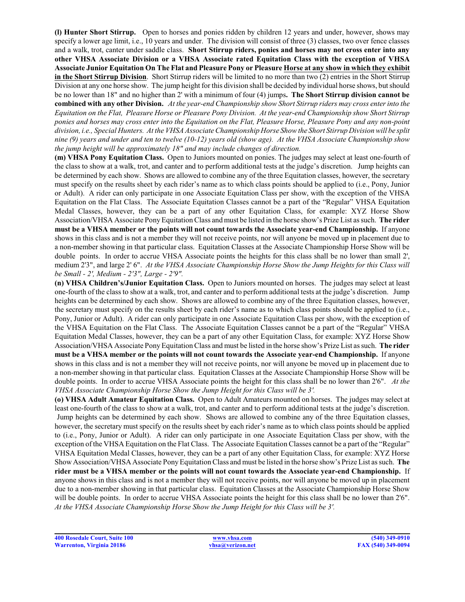**(l) Hunter Short Stirrup.** Open to horses and ponies ridden by children 12 years and under, however, shows may specify a lower age limit, i.e., 10 years and under. The division will consist of three (3) classes, two over fence classes and a walk, trot, canter under saddle class. **Short Stirrup riders, ponies and horses may not cross enter into any other VHSA Associate Division or a VHSA Associate rated Equitation Class with the exception of VHSA Associate Junior Equitation On The Flat and Pleasure Pony or Pleasure Horse at any show in which they exhibit in the Short Stirrup Division**. Short Stirrup riders will be limited to no more than two (2) entries in the Short Stirrup Division at any one horse show. The jump height for this division shall be decided by individual horse shows, but should be no lower than 18" and no higher than 2' with a minimum of four (4) jumps**. The Short Stirrup division cannot be combined with any other Division.** *At the year-end Championship show Short Stirrup riders may cross enterinto the Equitation on the Flat, Pleasure Horse or Pleasure Pony Division. At the year-end Championship show Short Stirrup ponies and horses may cross enter into the Equitation on the Flat, Pleasure Horse, Pleasure Pony and any non-point division, i.e., Special Hunters. At the VHSA Associate Championship Horse Show the Short Stirrup Divisionwill be split nine (9) years and under and ten to twelve (10-12) years old (show age). At the VHSA Associate Championship show the jump height will be approximately 18" and may include changes of direction.*

**(m) VHSA Pony Equitation Class.** Open to Juniors mounted on ponies. The judges may select at least one-fourth of the class to show at a walk, trot, and canter and to perform additional tests at the judge's discretion. Jump heights can be determined by each show. Shows are allowed to combine any of the three Equitation classes, however, the secretary must specify on the results sheet by each rider's name as to which class points should be applied to (i.e., Pony, Junior or Adult). A rider can only participate in one Associate Equitation Class per show, with the exception of the VHSA Equitation on the Flat Class. The Associate Equitation Classes cannot be a part of the "Regular" VHSA Equitation Medal Classes, however, they can be a part of any other Equitation Class, for example: XYZ Horse Show Association/VHSA Associate PonyEquitationClass and must be listed in the horse show's Prize List as such. **The rider must be a VHSA member or the points will not count towards the Associate year-end Championship.** If anyone shows in this class and is not a member they will not receive points, nor will anyone be moved up in placement due to a non-member showing in that particular class. Equitation Classes at the Associate Championship Horse Show will be double points. In order to accrue VHSA Associate points the heights for this class shall be no lower than small 2', medium 2'3", and large 2' 6". *At the VHSA Associate Championship Horse Show the Jump Heights for this Class will be Small - 2', Medium - 2'3", Large - 2'9".*

**(n) VHSA Children's/Junior Equitation Class.** Open to Juniors mounted on horses. The judges may select at least one-fourth of the class to show at a walk, trot, and canter and to perform additional tests at the judge's discretion. Jump heights can be determined by each show. Shows are allowed to combine any of the three Equitation classes, however, the secretary must specify on the results sheet by each rider's name as to which class points should be applied to (i.e., Pony, Junior or Adult). A rider can only participate in one Associate Equitation Class per show, with the exception of the VHSA Equitation on the Flat Class. The Associate Equitation Classes cannot be a part of the "Regular" VHSA Equitation Medal Classes, however, they can be a part of any other Equitation Class, for example: XYZ Horse Show Association/VHSA Associate PonyEquitationClass and must be listed in the horse show's Prize List as such. **The rider must be a VHSA member or the points will not count towards the Associate year-end Championship.** If anyone shows in this class and is not a member they will not receive points, nor will anyone be moved up in placement due to a non-member showing in that particular class. Equitation Classes at the Associate Championship Horse Show will be double points. In order to accrue VHSA Associate points the height for this class shall be no lower than 2'6". *At the VHSA Associate Championship Horse Show the Jump Height for this Class will be 3'.*

**(o) VHSA Adult Amateur Equitation Class.** Open to Adult Amateurs mounted on horses. The judges may select at least one-fourth of the class to show at a walk, trot, and canter and to perform additional tests at the judge's discretion. Jump heights can be determined by each show. Shows are allowed to combine any of the three Equitation classes, however, the secretary must specify on the results sheet by each rider's name as to which class points should be applied to (i.e., Pony, Junior or Adult). A rider can only participate in one Associate Equitation Class per show, with the exception of the VHSA Equitation on the Flat Class. The Associate Equitation Classes cannot be a part of the "Regular" VHSA Equitation Medal Classes, however, they can be a part of any other Equitation Class, for example: XYZ Horse Show Association/VHSA Associate PonyEquitationClass and must be listed in the horse show's Prize List as such. **The rider must be a VHSA member or the points will not count towards the Associate year-end Championship.** If anyone shows in this class and is not a member they will not receive points, nor will anyone be moved up in placement due to a non-member showing in that particular class. Equitation Classes at the Associate Championship Horse Show will be double points. In order to accrue VHSA Associate points the height for this class shall be no lower than 2'6". *At the VHSA Associate Championship Horse Show the Jump Height for this Class will be 3'.*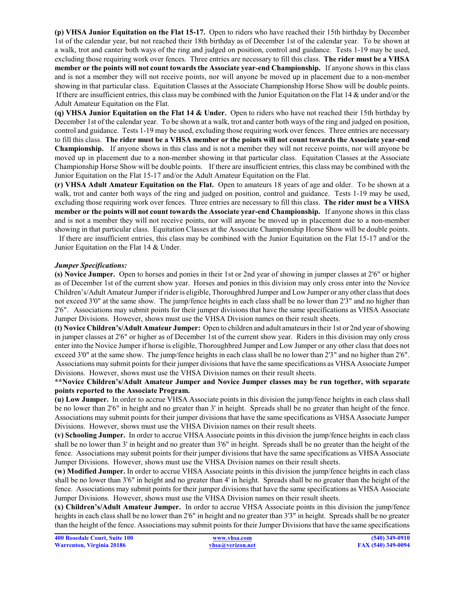**(p) VHSA Junior Equitation on the Flat 15-17.** Open to riders who have reached their 15th birthday by December 1st of the calendar year, but not reached their 18th birthday as of December 1st of the calendar year. To be shown at a walk, trot and canter both ways of the ring and judged on position, control and guidance. Tests 1-19 may be used, excluding those requiring work over fences. Three entries are necessary to fill this class. **The rider must be a VHSA member or the points will not count towards the Associate year-end Championship.** If anyone shows in this class and is not a member they will not receive points, nor will anyone be moved up in placement due to a non-member showing in that particular class. Equitation Classes at the Associate Championship Horse Show will be double points. If there are insufficient entries, this class may be combined with the Junior Equitation on the Flat 14 & under and/or the Adult Amateur Equitation on the Flat.

**(q) VHSA Junior Equitation on the Flat 14 & Under.** Open to riders who have not reached their 15th birthday by December 1st of the calendar year. To be shown at a walk, trot and canter both ways of the ring and judged on position, control and guidance. Tests 1-19 may be used, excluding those requiring work over fences. Three entries are necessary to fill this class. **The rider must be a VHSA member or the points will not count towards the Associate year-end Championship.** If anyone shows in this class and is not a member they will not receive points, nor will anyone be moved up in placement due to a non-member showing in that particular class. Equitation Classes at the Associate Championship Horse Show will be double points. If there are insufficient entries, this class may be combined with the Junior Equitation on the Flat 15-17 and/or the Adult Amateur Equitation on the Flat.

**(r) VHSA Adult Amateur Equitation on the Flat.** Open to amateurs 18 years of age and older. To be shown at a walk, trot and canter both ways of the ring and judged on position, control and guidance. Tests 1-19 may be used, excluding those requiring work over fences. Three entries are necessary to fill this class. **The rider must be a VHSA member or the points will not count towards the Associate year-end Championship.** If anyone shows in this class and is not a member they will not receive points, nor will anyone be moved up in placement due to a non-member showing in that particular class. Equitation Classes at the Associate Championship Horse Show will be double points.

If there are insufficient entries, this class may be combined with the Junior Equitation on the Flat 15-17 and/or the Junior Equitation on the Flat 14 & Under.

#### *Jumper Specifications:*

**(s) Novice Jumper.** Open to horses and ponies in their 1st or 2nd year of showing in jumper classes at 2'6" or higher as of December 1st of the current show year. Horses and ponies in this division may only cross enter into the Novice Children's/Adult Amateur Jumper if rider is eligible, Thoroughbred Jumper and Low Jumper or any other class that does not exceed 3'0" at the same show. The jump/fence heights in each class shall be no lower than 2'3" and no higher than 2'6". Associations may submit points for their jumper divisions that have the same specifications as VHSA Associate Jumper Divisions. However, shows must use the VHSA Division names on their result sheets.

**(t) Novice Children's/Adult Amateur Jumper:** Open to children and adult amateurs in their 1st or 2nd year ofshowing in jumper classes at 2'6" or higher as of December 1st of the current show year. Riders in this division may only cross enter into the Novice Jumper if horse is eligible, Thoroughbred Jumper and Low Jumper or any other class that does not exceed 3'0" at the same show. The jump/fence heights in each class shall be no lower than 2'3" and no higher than 2'6". Associations may submit points for their jumper divisions that have the same specifications as VHSA Associate Jumper Divisions. However, shows must use the VHSA Division names on their result sheets.

#### **\*\*Novice Children's/Adult Amateur Jumper and Novice Jumper classes may be run together, with separate points reported to the Associate Program.**

**(u) Low Jumper.** In order to accrue VHSA Associate points in this division the jump/fence heights in each class shall be no lower than 2'6" in height and no greater than 3' in height. Spreads shall be no greater than height of the fence. Associations may submit points for their jumper divisions that have the same specifications as VHSA Associate Jumper Divisions. However, shows must use the VHSA Division names on their result sheets.

**(v) Schooling Jumper.** In order to accrue VHSA Associate points in this division the jump/fence heights in each class shall be no lower than 3' in height and no greater than 3'6" in height. Spreads shall be no greater than the height of the fence. Associations may submit points for their jumper divisions that have the same specifications as VHSA Associate Jumper Divisions. However, shows must use the VHSA Division names on their result sheets.

**(w) Modified Jumper.** In order to accrue VHSA Associate points in this division the jump/fence heights in each class shall be no lower than 3'6" in height and no greater than 4' in height. Spreads shall be no greater than the height of the fence. Associations may submit points for their jumper divisions that have the same specifications as VHSA Associate Jumper Divisions. However, shows must use the VHSA Division names on their result sheets.

**(x) Children's/Adult Amateur Jumper.** In order to accrue VHSA Associate points in this division the jump/fence heights in each class shall be no lower than 2'6" in height and no greater than 3'3" in height. Spreads shall be no greater than the height of the fence. Associations may submit points for their Jumper Divisions that have the same specifications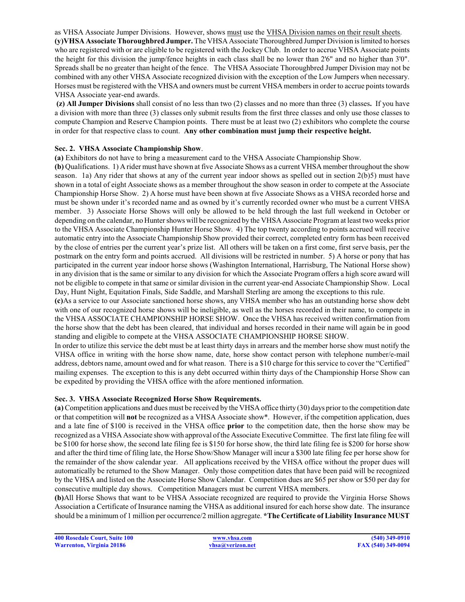as VHSA Associate Jumper Divisions. However, shows must use the VHSA Division names on their result sheets. **(y)VHSA Associate Thoroughbred Jumper.** The VHSA Associate Thoroughbred Jumper Division islimited to horses who are registered with or are eligible to be registered with the Jockey Club. In order to accrue VHSA Associate points the height for this division the jump/fence heights in each class shall be no lower than 2'6" and no higher than 3'0". Spreads shall be no greater than height of the fence. The VHSA Associate Thoroughbred Jumper Division may not be combined with any other VHSA Associate recognized division with the exception of the Low Jumpers when necessary. Horses must be registered with the VHSA and owners must be current VHSA members in order to accrue points towards VHSA Associate year-end awards.

**(z) All Jumper Divisions** shall consist of no less than two (2) classes and no more than three (3) classes**.** If you have a division with more than three (3) classes only submit results from the first three classes and only use those classes to compute Champion and Reserve Champion points. There must be at least two (2) exhibitors who complete the course in order for that respective class to count. **Any other combination must jump their respective height.**

#### **Sec. 2. VHSA Associate Championship Show**.

**(a)** Exhibitors do not have to bring a measurement card to the VHSA Associate Championship Show.

**(b)** Qualifications. 1) A rider must have shown at five Associate Shows as a current VHSA member throughout the show season. 1a) Any rider that shows at any of the current year indoor shows as spelled out in section 2(b)5) must have shown in a total of eight Associate shows as a member throughout the show season in order to compete at the Associate Championship Horse Show. 2) A horse must have been shown at five Associate Shows as a VHSA recorded horse and must be shown under it's recorded name and as owned by it's currently recorded owner who must be a current VHSA member. 3) Associate Horse Shows will only be allowed to be held through the last full weekend in October or depending on the calendar, no Hunter shows will be recognized by the VHSA Associate Program at least two weeks prior to the VHSA Associate Championship Hunter Horse Show. 4) The top twenty according to points accrued will receive automatic entry into the Associate Championship Show provided their correct, completed entry form has been received by the close of entries per the current year's prize list. All others will be taken on a first come, first serve basis, per the postmark on the entry form and points accrued. All divisions will be restricted in number. 5) A horse or pony that has participated in the current year indoor horse shows (Washington International, Harrisburg, The National Horse show) in any division that is the same or similar to any division for which the Associate Program offers a high score award will not be eligible to compete in that same or similar division in the current year-end Associate Championship Show. Local Day, Hunt Night, Equitation Finals, Side Saddle, and Marshall Sterling are among the exceptions to this rule.

**(c)**As a service to our Associate sanctioned horse shows, any VHSA member who has an outstanding horse show debt with one of our recognized horse shows will be ineligible, as well as the horses recorded in their name, to compete in the VHSA ASSOCIATE CHAMPIONSHIP HORSE SHOW. Once the VHSA has received written confirmation from the horse show that the debt has been cleared, that individual and horses recorded in their name will again be in good standing and eligible to compete at the VHSA ASSOCIATE CHAMPIONSHIP HORSE SHOW.

In order to utilize this service the debt must be at least thirty days in arrears and the member horse show must notify the VHSA office in writing with the horse show name, date, horse show contact person with telephone number/e-mail address, debtors name, amount owed and for what reason. There is a \$10 charge for this service to cover the "Certified" mailing expenses. The exception to this is any debt occurred within thirty days of the Championship Horse Show can be expedited by providing the VHSA office with the afore mentioned information.

#### **Sec. 3. VHSA Associate Recognized Horse Show Requirements.**

**(a)** Competition applications and dues must be received by the VHSA office thirty (30) days prior to the competition date or that competition will **not** be recognized as a VHSA Associate show\*. However, if the competition application, dues and a late fine of \$100 is received in the VHSA office **prior** to the competition date, then the horse show may be recognized as a VHSA Associate show with approval ofthe Associate Executive Committee. The first late filing fee will be \$100 for horse show, the second late filing fee is \$150 for horse show, the third late filing fee is \$200 for horse show and after the third time of filing late, the Horse Show/Show Manager will incur a \$300 late filing fee per horse show for the remainder of the show calendar year. All applications received by the VHSA office without the proper dues will automatically be returned to the Show Manager. Only those competition dates that have been paid will be recognized by the VHSA and listed on the Associate Horse Show Calendar. Competition dues are \$65 per show or \$50 per day for consecutive multiple day shows. Competition Managers must be current VHSA members.

**(b)**All Horse Shows that want to be VHSA Associate recognized are required to provide the Virginia Horse Shows Association a Certificate of Insurance naming the VHSA as additional insured for each horse show date. The insurance should be a minimum of 1 million per occurrence/2 million aggregate. **\*The Certificate of Liability Insurance MUST**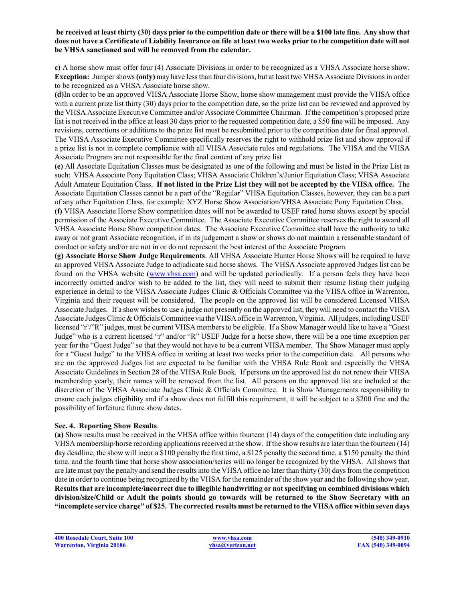#### **be received at least thirty (30) days prior to the competition date or there will be a \$100 late fine. Any show that does not have a Certificate of Liability Insurance on file at least two weeks prior to the competition date will not be VHSA sanctioned and will be removed from the calendar.**

**c)** A horse show must offer four (4) Associate Divisions in order to be recognized as a VHSA Associate horse show. **Exception:** Jumper shows **(only)** may have less than four divisions, but at least two VHSA Associate Divisions in order to be recognized as a VHSA Associate horse show.

**(d)**In order to be an approved VHSA Associate Horse Show, horse show management must provide the VHSA office with a current prize list thirty (30) days prior to the competition date, so the prize list can be reviewed and approved by the VHSA Associate Executive Committee and/or Associate Committee Chairman. If the competition's proposed prize list is not received in the office at least 30 days prior to the requested competition date, a \$50 fine will be imposed. Any revisions, corrections or additions to the prize list must be resubmitted prior to the competition date for final approval. The VHSA Associate Executive Committee specifically reserves the right to withhold prize list and show approval if a prize list is not in complete compliance with all VHSA Associate rules and regulations. The VHSA and the VHSA Associate Program are not responsible for the final content of any prize list

**(e)** All Associate Equitation Classes must be designated as one of the following and must be listed in the Prize List as such: VHSA Associate Pony Equitation Class; VHSA Associate Children's/Junior Equitation Class; VHSA Associate Adult Amateur Equitation Class. **If not listed in the Prize List they will not be accepted by the VHSA office.** The Associate Equitation Classes cannot be a part of the "Regular" VHSA Equitation Classes, however, they can be a part of any other Equitation Class, for example: XYZ Horse Show Association/VHSA Associate Pony Equitation Class.

**(f)** VHSA Associate Horse Show competition dates will not be awarded to USEF rated horse shows except by special permission of the Associate Executive Committee. The Associate Executive Committee reserves the right to award all VHSA Associate Horse Show competition dates. The Associate Executive Committee shall have the authority to take away or not grant Associate recognition, if in its judgement a show or shows do not maintain a reasonable standard of conduct or safety and/or are not in or do not represent the best interest of the Associate Program.

**(g) Associate Horse Show Judge Requirements**. All VHSA Associate Hunter Horse Shows will be required to have an approved VHSA Associate Judge to adjudicate said horse shows. The VHSA Associate approved Judges list can be found on the VHSA website (www.vhsa.com) and will be updated periodically. If a person feels they have been incorrectly omitted and/or wish to be added to the list, they will need to submit their resume listing their judging experience in detail to the VHSA Associate Judges Clinic & Officials Committee via the VHSA office in Warrenton, Virginia and their request will be considered. The people on the approved list will be considered Licensed VHSA Associate Judges. If a show wishes to use a judge not presently on the approved list, they will need to contact the VHSA Associate Judges Clinic & Officials Committee via the VHSA office in Warrenton, Virginia. All judges, including USEF licensed "r'/"R" judges, must be current VHSA members to be eligible. If a Show Manager would like to have a "Guest Judge" who is a current licensed "r" and/or "R" USEF Judge for a horse show, there will be a one time exception per year for the "Guest Judge" so that they would not have to be a current VHSA member. The Show Manager must apply for a "Guest Judge" to the VHSA office in writing at least two weeks prior to the competition date. All persons who are on the approved Judges list are expected to be familiar with the VHSA Rule Book and especially the VHSA Associate Guidelines in Section 28 of the VHSA Rule Book. If persons on the approved list do not renew their VHSA membership yearly, their names will be removed from the list. All persons on the approved list are included at the discretion of the VHSA Associate Judges Clinic & Officials Committee. It is Show Managements responsibility to ensure each judges eligibility and if a show does not fulfill this requirement, it will be subject to a \$200 fine and the possibility of forfeiture future show dates.

#### **Sec. 4. Reporting Show Results**.

**(a)** Show results must be received in the VHSA office within fourteen (14) days of the competition date including any VHSA membership/horse recording applications received at the show. Ifthe show results are later than the fourteen (14) day deadline, the show will incur a \$100 penalty the first time, a \$125 penalty the second time, a \$150 penalty the third time, and the fourth time that horse show association/series will no longer be recognized by the VHSA. All shows that are late must pay the penalty and send the results into the VHSA office no later than thirty (30) daysfrom the competition date in order to continue being recognized by the VHSA for the remainder of the show year and the following show year. **Resultsthat are incomplete/incorrect due to illegible handwriting or not specifying on combined divisions which division/size/Child or Adult the points should go towards will be returned to the Show Secretary with an "incomplete service charge" of \$25. The corrected results must be returned to the VHSA office within seven days**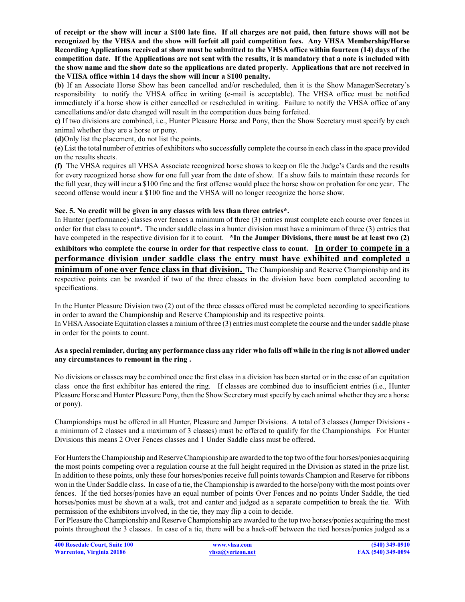**of receipt or the show will incur a \$100 late fine. If all charges are not paid, then future shows will not be recognized by the VHSA and the show will forfeit all paid competition fees. Any VHSA Membership/Horse Recording Applications received at show must be submitted to the VHSA office within fourteen (14) days of the competition date. If the Applications are not sent with the results, it is mandatory that a note is included with the show name and the show date so the applications are dated properly. Applications that are not received in the VHSA office within 14 days the show will incur a \$100 penalty.**

**(b)** If an Associate Horse Show has been cancelled and/or rescheduled, then it is the Show Manager/Secretary's responsibility to notify the VHSA office in writing (e-mail is acceptable). The VHSA office must be notified immediately if a horse show is either cancelled or rescheduled in writing. Failure to notify the VHSA office of any cancellations and/or date changed will result in the competition dues being forfeited.

**c)** If two divisions are combined, i.e., Hunter Pleasure Horse and Pony, then the Show Secretary must specify by each animal whether they are a horse or pony.

**(d)**Only list the placement, do not list the points.

**(e)** List the total number of entries of exhibitors who successfully complete the course in each class in the space provided on the results sheets.

**(f)** The VHSA requires all VHSA Associate recognized horse shows to keep on file the Judge's Cards and the results for every recognized horse show for one full year from the date of show. If a show fails to maintain these records for the full year, they will incur a \$100 fine and the first offense would place the horse show on probation for one year. The second offense would incur a \$100 fine and the VHSA will no longer recognize the horse show.

## **Sec. 5. No credit will be given in any classes with less than three entries\*.**

In Hunter (performance) classes over fences a minimum of three (3) entries must complete each course over fences in order for that class to count**\*.** The under saddle class in a hunter division must have a minimum of three (3) entries that have competed in the respective division for it to count. **\*In the Jumper Divisions, there must be at least two (2)**

**exhibitors who complete the course in order for that respective class to count. In order to compete in a performance division under saddle class the entry must have exhibited and completed a minimum of one over fence class in that division.** The Championship and Reserve Championship and its respective points can be awarded if two of the three classes in the division have been completed according to specifications.

In the Hunter Pleasure Division two (2) out of the three classes offered must be completed according to specifications in order to award the Championship and Reserve Championship and its respective points.

In VHSA Associate Equitation classes a miniumofthree (3) entries must complete the course and the under saddle phase in order for the points to count.

## **As a special reminder, during any performance class any rider who falls off while in the ring is not allowed under any circumstances to remount in the ring .**

No divisions or classes may be combined once the first class in a division has been started or in the case of an equitation class once the first exhibitor has entered the ring. If classes are combined due to insufficient entries (i.e., Hunter Pleasure Horse and Hunter Pleasure Pony, then the Show Secretary must specify by each animal whether they are a horse or pony).

Championships must be offered in all Hunter, Pleasure and Jumper Divisions. A total of 3 classes (Jumper Divisions a minimum of 2 classes and a maximum of 3 classes) must be offered to qualify for the Championships. For Hunter Divisions this means 2 Over Fences classes and 1 Under Saddle class must be offered.

For Hunters the Championship and Reserve Championship are awarded to the top two of the four horses/ponies acquiring the most points competing over a regulation course at the full height required in the Division as stated in the prize list. In addition to these points, only these four horses/ponies receive full points towards Champion and Reserve for ribbons won in the Under Saddle class. In case of a tie, the Championship is awarded to the horse/pony with the most points over fences. If the tied horses/ponies have an equal number of points Over Fences and no points Under Saddle, the tied horses/ponies must be shown at a walk, trot and canter and judged as a separate competition to break the tie. With permission of the exhibitors involved, in the tie, they may flip a coin to decide.

For Pleasure the Championship and Reserve Championship are awarded to the top two horses/ponies acquiring the most points throughout the 3 classes. In case of a tie, there will be a hack-off between the tied horses/ponies judged as a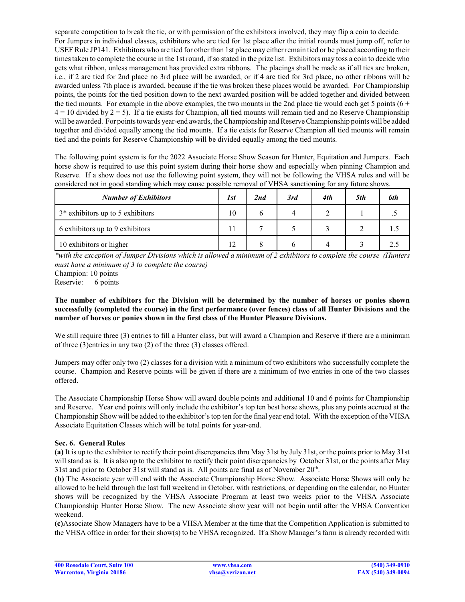separate competition to break the tie, or with permission of the exhibitors involved, they may flip a coin to decide. For Jumpers in individual classes, exhibitors who are tied for 1st place after the initial rounds must jump off, refer to USEF Rule JP141. Exhibitors who are tied for other than 1st place may either remain tied or be placed according to their times taken to complete the course in the 1st round, if so stated in the prize list. Exhibitors may toss a coin to decide who gets what ribbon, unless management has provided extra ribbons. The placings shall be made as if all ties are broken, i.e., if 2 are tied for 2nd place no 3rd place will be awarded, or if 4 are tied for 3rd place, no other ribbons will be awarded unless 7th place is awarded, because if the tie was broken these places would be awarded. For Championship points, the points for the tied position down to the next awarded position will be added together and divided between the tied mounts. For example in the above examples, the two mounts in the 2nd place tie would each get 5 points  $(6 +$  $4 = 10$  divided by  $2 = 5$ ). If a tie exists for Champion, all tied mounts will remain tied and no Reserve Championship will be awarded. For points towards year-end awards, the Championship and Reserve Championship points will be added together and divided equally among the tied mounts. If a tie exists for Reserve Champion all tied mounts will remain tied and the points for Reserve Championship will be divided equally among the tied mounts.

The following point system is for the 2022 Associate Horse Show Season for Hunter, Equitation and Jumpers. Each horse show is required to use this point system during their horse show and especially when pinning Champion and Reserve. If a show does not use the following point system, they will not be following the VHSA rules and will be considered not in good standing which may cause possible removal of VHSA sanctioning for any future shows.

| <b>Number of Exhibitors</b>                  | 1st | 2nd | 3rd | 4th | 5th | 6th |
|----------------------------------------------|-----|-----|-----|-----|-----|-----|
| 3 <sup>*</sup> exhibitors up to 5 exhibitors | 10  |     |     |     |     |     |
| 6 exhibitors up to 9 exhibitors              |     |     |     |     |     |     |
| 10 exhibitors or higher                      | 12  |     |     |     |     |     |

*\*with the exception of Jumper Divisions which is allowed a minimum of 2 exhibitors to complete the course (Hunters must have a minimum of 3 to complete the course)*

Champion: 10 points

Reservie: 6 points

## **The number of exhibitors for the Division will be determined by the number of horses or ponies shown successfully (completed the course) in the first performance (over fences) class of all Hunter Divisions and the number of horses or ponies shown in the first class of the Hunter Pleasure Divisions.**

We still require three (3) entries to fill a Hunter class, but will award a Champion and Reserve if there are a minimum of three (3)entries in any two (2) of the three (3) classes offered.

Jumpers may offer only two (2) classes for a division with a minimum of two exhibitors who successfully complete the course. Champion and Reserve points will be given if there are a minimum of two entries in one of the two classes offered.

The Associate Championship Horse Show will award double points and additional 10 and 6 points for Championship and Reserve. Year end points will only include the exhibitor's top ten best horse shows, plus any points accrued at the Championship Show will be added to the exhibitor's top ten for the final year end total. With the exception ofthe VHSA Associate Equitation Classes which will be total points for year-end.

## **Sec. 6. General Rules**

**(a)** It is up to the exhibitor to rectify their point discrepancies thru May 31st by July 31st, or the points prior to May 31st will stand as is. It is also up to the exhibitor to rectify their point discrepancies by October 31st, or the points after May 31st and prior to October 31st will stand as is. All points are final as of November  $20<sup>th</sup>$ .

**(b)** The Associate year will end with the Associate Championship Horse Show. Associate Horse Shows will only be allowed to be held through the last full weekend in October, with restrictions, or depending on the calendar, no Hunter shows will be recognized by the VHSA Associate Program at least two weeks prior to the VHSA Associate Championship Hunter Horse Show. The new Associate show year will not begin until after the VHSA Convention weekend.

**(c)**Associate Show Managers have to be a VHSA Member at the time that the Competition Application is submitted to the VHSA office in order for their show(s) to be VHSA recognized. If a Show Manager's farm is already recorded with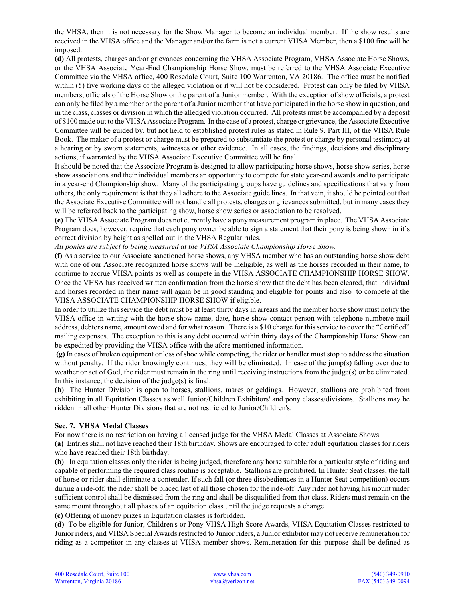the VHSA, then it is not necessary for the Show Manager to become an individual member. If the show results are received in the VHSA office and the Manager and/or the farm is not a current VHSA Member, then a \$100 fine will be imposed.

**(d)** All protests, charges and/or grievances concerning the VHSA Associate Program, VHSA Associate Horse Shows, or the VHSA Associate Year-End Championship Horse Show, must be referred to the VHSA Associate Executive Committee via the VHSA office, 400 Rosedale Court, Suite 100 Warrenton, VA 20186. The office must be notified within (5) five working days of the alleged violation or it will not be considered. Protest can only be filed by VHSA members, officials of the Horse Show or the parent of a Junior member. With the exception of show officials, a protest can only be filed by a member or the parent of a Junior member that have participated in the horse show in question, and in the class, classes or division in which the alledged violation occurred. All protests must be accompanied by a deposit of \$100 made out to the VHSA Associate Program. In the case of a protest, charge or grievance, the Associate Executive Committee will be guided by, but not held to established protest rules as stated in Rule 9, Part III, of the VHSA Rule Book. The maker of a protest or charge must be prepared to substantiate the protest or charge by personal testimony at a hearing or by sworn statements, witnesses or other evidence. In all cases, the findings, decisions and disciplinary actions, if warranted by the VHSA Associate Executive Committee will be final.

It should be noted that the Associate Program is designed to allow participating horse shows, horse show series, horse show associations and their individual members an opportunity to compete for state year-end awards and to participate in a year-end Championship show. Many of the participating groups have guidelines and specifications that vary from others, the only requirement is that they all adhere to the Associate guide lines. In that vein, it should be pointed out that the Associate Executive Committee will not handle all protests, charges or grievances submitted, but in many cases they will be referred back to the participating show, horse show series or association to be resolved.

**(e)** The VHSA Associate Program does not currently have a pony measurement program in place. The VHSA Associate Program does, however, require that each pony owner be able to sign a statement that their pony is being shown in it's correct division by height as spelled out in the VHSA Regular rules.

*All ponies are subject to being measured at the VHSA Associate Championship Horse Show.*

**(f)** As a service to our Associate sanctioned horse shows, any VHSA member who has an outstanding horse show debt with one of our Associate recognized horse shows will be ineligible, as well as the horses recorded in their name, to continue to accrue VHSA points as well as compete in the VHSA ASSOCIATE CHAMPIONSHIP HORSE SHOW. Once the VHSA has received written confirmation from the horse show that the debt has been cleared, that individual and horses recorded in their name will again be in good standing and eligible for points and also to compete at the VHSA ASSOCIATE CHAMPIONSHIP HORSE SHOW if eligible.

In order to utilize this service the debt must be at least thirty days in arrears and the member horse show must notify the VHSA office in writing with the horse show name, date, horse show contact person with telephone number/e-mail address, debtors name, amount owed and for what reason. There is a \$10 charge for this service to cover the "Certified" mailing expenses. The exception to this is any debt occurred within thirty days of the Championship Horse Show can be expedited by providing the VHSA office with the afore mentioned information.

**(g)** In cases of broken equipment or loss of shoe while competing, the rider or handler must stop to address the situation without penalty. If the rider knowingly continues, they will be eliminated. In case of the jump(s) falling over due to weather or act of God, the rider must remain in the ring until receiving instructions from the judge(s) or be eliminated. In this instance, the decision of the  $i$ udge $(s)$  is final.

**(h)** The Hunter Division is open to horses, stallions, mares or geldings. However, stallions are prohibited from exhibiting in all Equitation Classes as well Junior/Children Exhibitors' and pony classes/divisions. Stallions may be ridden in all other Hunter Divisions that are not restricted to Junior/Children's.

## **Sec. 7. VHSA Medal Classes**

For now there is no restriction on having a licensed judge for the VHSA Medal Classes at Associate Shows.

**(a)** Entries shall not have reached their 18th birthday. Shows are encouraged to offer adult equitation classes for riders who have reached their 18th birthday.

**(b)** In equitation classes only the rider is being judged, therefore any horse suitable for a particular style of riding and capable of performing the required class routine is acceptable. Stallions are prohibited. In Hunter Seat classes, the fall of horse or rider shall eliminate a contender. If such fall (or three disobediences in a Hunter Seat competition) occurs during a ride-off, the rider shall be placed last of all those chosen for the ride-off. Any rider not having his mount under sufficient control shall be dismissed from the ring and shall be disqualified from that class. Riders must remain on the same mount throughout all phases of an equitation class until the judge requests a change.

**(c)** Offering of money prizes in Equitation classes is forbidden.

**(d)** To be eligible for Junior, Children's or Pony VHSA High Score Awards, VHSA Equitation Classes restricted to Junior riders, and VHSA Special Awards restricted to Junior riders, a Junior exhibitor may not receive remuneration for riding as a competitor in any classes at VHSA member shows. Remuneration for this purpose shall be defined as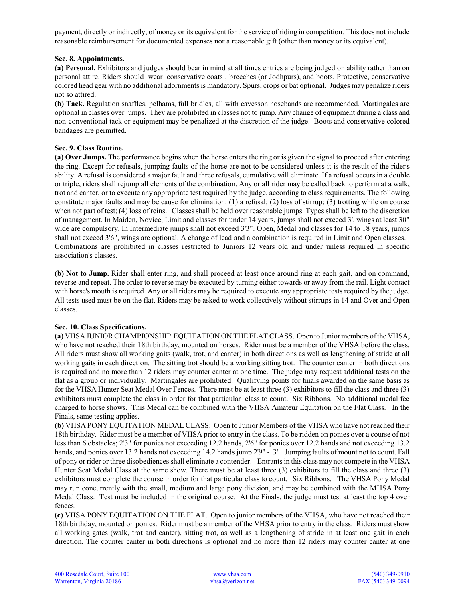payment, directly or indirectly, of money or its equivalent for the service of riding in competition. This does not include reasonable reimbursement for documented expenses nor a reasonable gift (other than money or its equivalent).

#### **Sec. 8. Appointments.**

**(a) Personal.** Exhibitors and judges should bear in mind at all times entries are being judged on ability rather than on personal attire. Riders should wear conservative coats , breeches (or Jodhpurs), and boots. Protective, conservative colored head gear with no additional adornments is mandatory. Spurs, crops or bat optional. Judges may penalize riders not so attired.

**(b) Tack.** Regulation snaffles, pelhams, full bridles, all with cavesson nosebands are recommended. Martingales are optional in classes over jumps. They are prohibited in classes not to jump. Any change of equipment during a class and non-conventional tack or equipment may be penalized at the discretion of the judge. Boots and conservative colored bandages are permitted.

## **Sec. 9. Class Routine.**

**(a) Over Jumps.** The performance begins when the horse enters the ring or is given the signal to proceed after entering the ring. Except for refusals, jumping faults of the horse are not to be considered unless it is the result of the rider's ability. A refusal is considered a major fault and three refusals, cumulative will eliminate. If a refusal occurs in a double or triple, riders shall rejump all elements of the combination. Any or all rider may be called back to perform at a walk, trot and canter, or to execute any appropriate test required by the judge, according to class requirements. The following constitute major faults and may be cause for elimination: (1) a refusal; (2) loss of stirrup; (3) trotting while on course when not part of test; (4) loss of reins. Classes shall be held over reasonable jumps. Types shall be left to the discretion of management. In Maiden, Novice, Limit and classes for under 14 years, jumps shall not exceed 3', wings at least 30" wide are compulsory. In Intermediate jumps shall not exceed 3'3". Open, Medal and classes for 14 to 18 years, jumps shall not exceed 3'6", wings are optional. A change of lead and a combination is required in Limit and Open classes. Combinations are prohibited in classes restricted to Juniors 12 years old and under unless required in specific association's classes.

**(b) Not to Jump.** Rider shall enter ring, and shall proceed at least once around ring at each gait, and on command, reverse and repeat. The order to reverse may be executed by turning either towards or away from the rail. Light contact with horse's mouth is required. Any or all riders may be required to execute any appropriate tests required by the judge. All tests used must be on the flat. Riders may be asked to work collectively without stirrups in 14 and Over and Open classes.

## **Sec. 10. Class Specifications.**

**(a)** VHSAJUNIOR CHAMPIONSHIP EQUITATION ON THE FLAT CLASS. Open to Junior members ofthe VHSA, who have not reached their 18th birthday, mounted on horses. Rider must be a member of the VHSA before the class. All riders must show all working gaits (walk, trot, and canter) in both directions as well as lengthening of stride at all working gaits in each direction. The sitting trot should be a working sitting trot. The counter canter in both directions is required and no more than 12 riders may counter canter at one time. The judge may request additional tests on the flat as a group or individually. Martingales are prohibited. Qualifying points for finals awarded on the same basis as for the VHSA Hunter Seat Medal Over Fences. There must be at least three (3) exhibitors to fill the class and three (3) exhibitors must complete the class in order for that particular class to count. Six Ribbons. No additional medal fee charged to horse shows. This Medal can be combined with the VHSA Amateur Equitation on the Flat Class. In the Finals, same testing applies.

**(b)** VHSA PONY EQUITATION MEDAL CLASS: Open to Junior Members of the VHSA who have not reached their 18th birthday. Rider must be a member of VHSA prior to entry in the class. To be ridden on ponies over a course of not less than 6 obstacles; 2'3" for ponies not exceeding 12.2 hands, 2'6" for ponies over 12.2 hands and not exceeding 13.2 hands, and ponies over 13.2 hands not exceeding 14.2 hands jump 2'9" - 3'. Jumping faults of mount not to count. Fall of pony or rider or three disobediences shall eliminate a contender. Entrants in this class may not compete in the VHSA Hunter Seat Medal Class at the same show. There must be at least three (3) exhibitors to fill the class and three (3) exhibitors must complete the course in order for that particular class to count. Six Ribbons. The VHSA Pony Medal may run concurrently with the small, medium and large pony division, and may be combined with the MHSA Pony Medal Class. Test must be included in the original course. At the Finals, the judge must test at least the top 4 over fences.

**(c)** VHSA PONY EQUITATION ON THE FLAT. Open to junior members of the VHSA, who have not reached their 18th birthday, mounted on ponies. Rider must be a member of the VHSA prior to entry in the class. Riders must show all working gates (walk, trot and canter), sitting trot, as well as a lengthening of stride in at least one gait in each direction. The counter canter in both directions is optional and no more than 12 riders may counter canter at one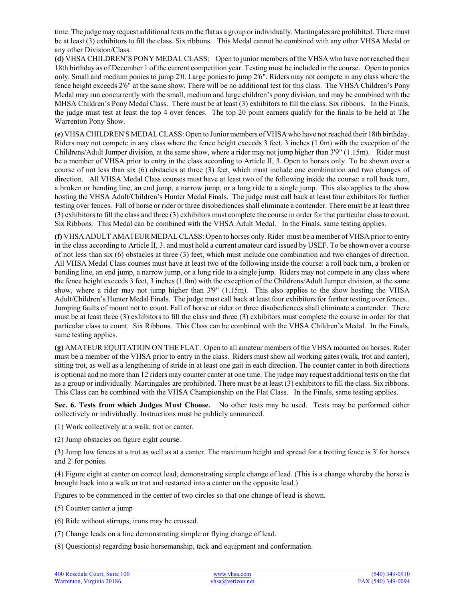time. The judge may request additional tests on the flat as a group or individually. Martingales are prohibited. There must be at least (3) exhibitors to fill the class. Six ribbons. This Medal cannot be combined with any other VHSA Medal or any other Division/Class.

**(d)** VHSA CHILDREN'S PONY MEDAL CLASS: Open to junior members of the VHSA who have not reached their 18th birthday as of December 1 of the current competition year. Testing must be included in the course. Open to ponies only. Small and medium ponies to jump 2'0. Large ponies to jump 2'6". Riders may not compete in any class where the fence height exceeds 2'6" at the same show. There will be no additional test for this class. The VHSA Children's Pony Medal may run concurrently with the small, medium and large children's pony division, and may be combined with the MHSA Children's Pony Medal Class. There must be at least (3) exhibitors to fill the class. Six ribbons. In the Finals, the judge must test at least the top 4 over fences. The top 20 point earners qualify for the finals to be held at The Warrenton Pony Show.

**(e)** VHSA CHILDREN'S MEDALCLASS: Open to Junior members of VHSA who have not reached their 18th birthday. Riders may not compete in any class where the fence height exceeds 3 feet, 3 inches (1.0m) with the exception of the Childrens/Adult Jumper division, at the same show, where a rider may not jump higher than 3'9" (1.15m). Rider must be a member of VHSA prior to entry in the class according to Article II, 3. Open to horses only. To be shown over a course of not less than six (6) obstacles at three (3) feet, which must include one combination and two changes of direction. All VHSA Medal Class courses must have at least two of the following inside the course: a roll back turn, a broken or bending line, an end jump, a narrow jump, or a long ride to a single jump. This also applies to the show hosting the VHSA Adult/Children's Hunter Medal Finals. The judge must call back at least four exhibitors for further testing over fences. Fall of horse or rider or three disobediencesshall eliminate a contender. There must be at least three (3) exhibitors to fill the class and three (3) exhibitors must complete the course in order for that particular class to count. Six Ribbons. This Medal can be combined with the VHSA Adult Medal. In the Finals, same testing applies.

**(f)** VHSA ADULT AMATEUR MEDALCLASS: Open to horses only. Rider must be a member of VHSA prior to entry in the class according to Article II, 3. and must hold a current amateur card issued by USEF. To be shown over a course of not less than six (6) obstacles at three (3) feet, which must include one combination and two changes of direction. All VHSA Medal Class courses must have at least two of the following inside the course: a roll back turn, a broken or bending line, an end jump, a narrow jump, or a long ride to a single jump. Riders may not compete in any class where the fence height exceeds 3 feet, 3 inches (1.0m) with the exception of the Childrens/Adult Jumper division, at the same show, where a rider may not jump higher than 3'9" (1.15m). This also applies to the show hosting the VHSA Adult/Children's Hunter Medal Finals. The judge must call back at least four exhibitors for further testing over fences.. Jumping faults of mount not to count. Fall of horse or rider or three disobediences shall eliminate a contender. There must be at least three (3) exhibitors to fill the class and three (3) exhibitors must complete the course in order for that particular class to count. Six Ribbons. This Class can be combined with the VHSA Children's Medal. In the Finals, same testing applies.

**(g)** AMATEUR EQUITATION ON THE FLAT. Open to all amateur members of the VHSA mounted on horses. Rider must be a member of the VHSA prior to entry in the class. Riders must show all working gates (walk, trot and canter), sitting trot, as well as a lengthening of stride in at least one gait in each direction. The counter canter in both directions is optional and no more than 12 riders may counter canter at one time. The judge may request additional tests on the flat as a group or individually. Martingales are prohibited. There must be at least (3) exhibitors to fill the class. Six ribbons. This Class can be combined with the VHSA Championship on the Flat Class. In the Finals, same testing applies.

**Sec. 6. Tests from which Judges Must Choose.** No other tests may be used. Tests may be performed either collectively or individually. Instructions must be publicly announced.

(1) Work collectively at a walk, trot or canter.

(2) Jump obstacles on figure eight course.

(3) Jump low fences at a trot as well as at a canter. The maximum height and spread for a trotting fence is 3' for horses and 2' for ponies.

(4) Figure eight at canter on correct lead, demonstrating simple change of lead. (This is a change whereby the horse is brought back into a walk or trot and restarted into a canter on the opposite lead.)

Figures to be commenced in the center of two circles so that one change of lead is shown.

(5) Counter canter a jump

(6) Ride without stirrups, irons may be crossed.

(7) Change leads on a line demonstrating simple or flying change of lead.

(8) Question(s) regarding basic horsemanship, tack and equipment and conformation.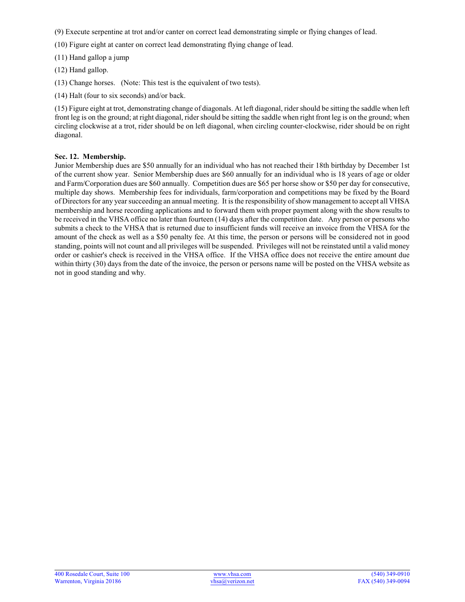(9) Execute serpentine at trot and/or canter on correct lead demonstrating simple or flying changes of lead.

- (10) Figure eight at canter on correct lead demonstrating flying change of lead.
- (11) Hand gallop a jump
- (12) Hand gallop.
- (13) Change horses. (Note: This test is the equivalent of two tests).
- (14) Halt (four to six seconds) and/or back.

(15) Figure eight at trot, demonstrating change of diagonals. At left diagonal, rider should be sitting the saddle when left front leg is on the ground; at right diagonal, rider should be sitting the saddle when right front leg is on the ground; when circling clockwise at a trot, rider should be on left diagonal, when circling counter-clockwise, rider should be on right diagonal.

## **Sec. 12. Membership.**

Junior Membership dues are \$50 annually for an individual who has not reached their 18th birthday by December 1st of the current show year. Senior Membership dues are \$60 annually for an individual who is 18 years of age or older and Farm/Corporation dues are \$60 annually. Competition dues are \$65 per horse show or \$50 per day for consecutive, multiple day shows. Membership fees for individuals, farm/corporation and competitions may be fixed by the Board of Directors for any year succeeding an annual meeting. It is the responsibility ofshow management to accept all VHSA membership and horse recording applications and to forward them with proper payment along with the show results to be received in the VHSA office no later than fourteen (14) days after the competition date. Any person or persons who submits a check to the VHSA that is returned due to insufficient funds will receive an invoice from the VHSA for the amount of the check as well as a \$50 penalty fee. At this time, the person or persons will be considered not in good standing, points will not count and all privileges will be suspended. Privileges will not be reinstated until a valid money order or cashier's check is received in the VHSA office. If the VHSA office does not receive the entire amount due within thirty (30) days from the date of the invoice, the person or persons name will be posted on the VHSA website as not in good standing and why.